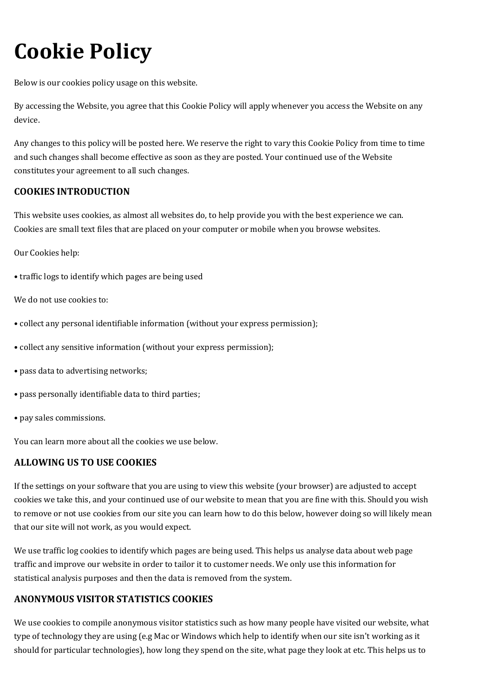# **Cookie Policy**

Below is our cookies policy usage on this website.

By accessing the Website, you agree that this Cookie Policy will apply whenever you access the Website on any device.

Any changes to this policy will be posted here. We reserve the right to vary this Cookie Policy from time to time and such changes shall become effective as soon as they are posted. Your continued use of the Website constitutes your agreement to all such changes.

## **COOKIES INTRODUCTION**

This website uses cookies, as almost all websites do, to help provide you with the best experience we can. Cookies are small text files that are placed on your computer or mobile when you browse websites.

Our Cookies help:

• traffic logs to identify which pages are being used

We do not use cookies to:

- collect any personal identifiable information (without your express permission);
- collect any sensitive information (without your express permission);
- pass data to advertising networks;
- pass personally identifiable data to third parties;
- pay sales commissions.

You can learn more about all the cookies we use below.

## **ALLOWING US TO USE COOKIES**

If the settings on your software that you are using to view this website (your browser) are adjusted to accept cookies we take this, and your continued use of our website to mean that you are fine with this. Should you wish to remove or not use cookies from our site you can learn how to do this below, however doing so will likely mean that our site will not work, as you would expect.

We use traffic log cookies to identify which pages are being used. This helps us analyse data about web page traffic and improve our website in order to tailor it to customer needs. We only use this information for statistical analysis purposes and then the data is removed from the system.

## **ANONYMOUS VISITOR STATISTICS COOKIES**

We use cookies to compile anonymous visitor statistics such as how many people have visited our website, what type of technology they are using (e.g Mac or Windows which help to identify when our site isn't working as it should for particular technologies), how long they spend on the site, what page they look at etc. This helps us to